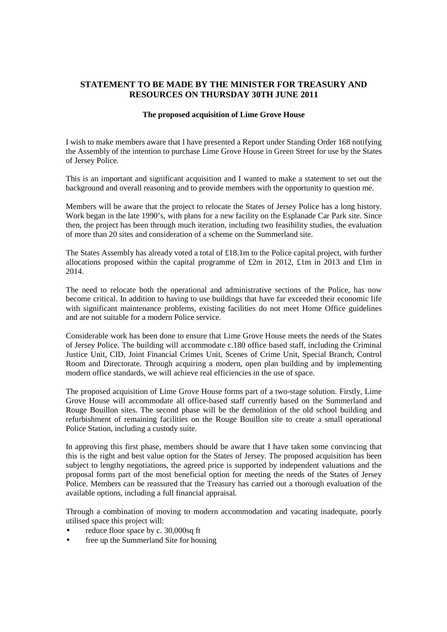# **STATEMENT TO BE MADE BY THE MINISTER FOR TREASURY AND RESOURCES ON THURSDAY 30TH JUNE 2011**

### **The proposed acquisition of Lime Grove House**

I wish to make members aware that I have presented a Report under Standing Order 168 notifying the Assembly of the intention to purchase Lime Grove House in Green Street for use by the States of Jersey Police.

This is an important and significant acquisition and I wanted to make a statement to set out the background and overall reasoning and to provide members with the opportunity to question me.

Members will be aware that the project to relocate the States of Jersey Police has a long history. Work began in the late 1990's, with plans for a new facility on the Esplanade Car Park site. Since then, the project has been through much iteration, including two feasibility studies, the evaluation of more than 20 sites and consideration of a scheme on the Summerland site.

The States Assembly has already voted a total of £18.1m to the Police capital project, with further allocations proposed within the capital programme of £2m in 2012, £1m in 2013 and £1m in 2014.

The need to relocate both the operational and administrative sections of the Police, has now become critical. In addition to having to use buildings that have far exceeded their economic life with significant maintenance problems, existing facilities do not meet Home Office guidelines and are not suitable for a modern Police service.

Considerable work has been done to ensure that Lime Grove House meets the needs of the States of Jersey Police. The building will accommodate c.180 office based staff, including the Criminal Justice Unit, CID, Joint Financial Crimes Unit, Scenes of Crime Unit, Special Branch, Control Room and Directorate. Through acquiring a modern, open plan building and by implementing modern office standards, we will achieve real efficiencies in the use of space.

The proposed acquisition of Lime Grove House forms part of a two-stage solution. Firstly, Lime Grove House will accommodate all office-based staff currently based on the Summerland and Rouge Bouillon sites. The second phase will be the demolition of the old school building and refurbishment of remaining facilities on the Rouge Bouillon site to create a small operational Police Station, including a custody suite.

In approving this first phase, members should be aware that I have taken some convincing that this is the right and best value option for the States of Jersey. The proposed acquisition has been subject to lengthy negotiations, the agreed price is supported by independent valuations and the proposal forms part of the most beneficial option for meeting the needs of the States of Jersey Police. Members can be reassured that the Treasury has carried out a thorough evaluation of the available options, including a full financial appraisal.

Through a combination of moving to modern accommodation and vacating inadequate, poorly utilised space this project will:

- reduce floor space by c. 30,000sq ft
- free up the Summerland Site for housing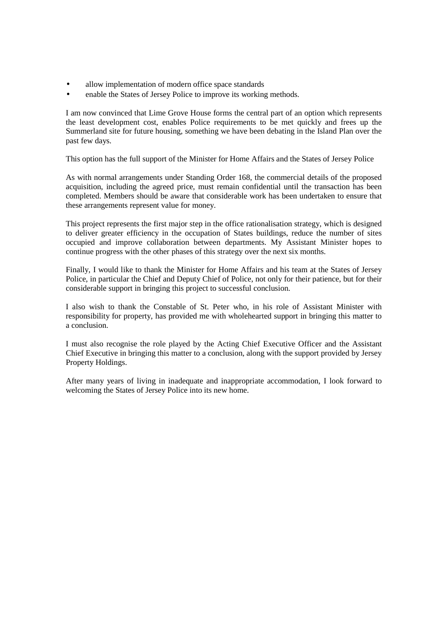- allow implementation of modern office space standards
- enable the States of Jersey Police to improve its working methods.

I am now convinced that Lime Grove House forms the central part of an option which represents the least development cost, enables Police requirements to be met quickly and frees up the Summerland site for future housing, something we have been debating in the Island Plan over the past few days.

This option has the full support of the Minister for Home Affairs and the States of Jersey Police

As with normal arrangements under Standing Order 168, the commercial details of the proposed acquisition, including the agreed price, must remain confidential until the transaction has been completed. Members should be aware that considerable work has been undertaken to ensure that these arrangements represent value for money.

This project represents the first major step in the office rationalisation strategy, which is designed to deliver greater efficiency in the occupation of States buildings, reduce the number of sites occupied and improve collaboration between departments. My Assistant Minister hopes to continue progress with the other phases of this strategy over the next six months.

Finally, I would like to thank the Minister for Home Affairs and his team at the States of Jersey Police, in particular the Chief and Deputy Chief of Police, not only for their patience, but for their considerable support in bringing this project to successful conclusion.

I also wish to thank the Constable of St. Peter who, in his role of Assistant Minister with responsibility for property, has provided me with wholehearted support in bringing this matter to a conclusion.

I must also recognise the role played by the Acting Chief Executive Officer and the Assistant Chief Executive in bringing this matter to a conclusion, along with the support provided by Jersey Property Holdings.

After many years of living in inadequate and inappropriate accommodation, I look forward to welcoming the States of Jersey Police into its new home.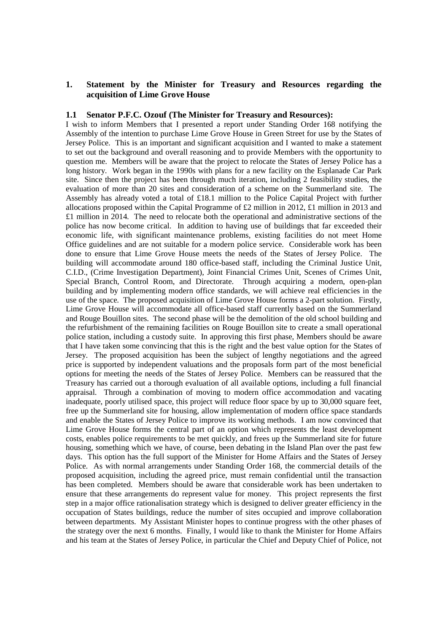## **1. Statement by the Minister for Treasury and Resources regarding the acquisition of Lime Grove House**

### **1.1 Senator P.F.C. Ozouf (The Minister for Treasury and Resources):**

I wish to inform Members that I presented a report under Standing Order 168 notifying the Assembly of the intention to purchase Lime Grove House in Green Street for use by the States of Jersey Police. This is an important and significant acquisition and I wanted to make a statement to set out the background and overall reasoning and to provide Members with the opportunity to question me. Members will be aware that the project to relocate the States of Jersey Police has a long history. Work began in the 1990s with plans for a new facility on the Esplanade Car Park site. Since then the project has been through much iteration, including 2 feasibility studies, the evaluation of more than 20 sites and consideration of a scheme on the Summerland site. The Assembly has already voted a total of £18.1 million to the Police Capital Project with further allocations proposed within the Capital Programme of £2 million in 2012, £1 million in 2013 and £1 million in 2014. The need to relocate both the operational and administrative sections of the police has now become critical. In addition to having use of buildings that far exceeded their economic life, with significant maintenance problems, existing facilities do not meet Home Office guidelines and are not suitable for a modern police service. Considerable work has been done to ensure that Lime Grove House meets the needs of the States of Jersey Police. The building will accommodate around 180 office-based staff, including the Criminal Justice Unit, C.I.D., (Crime Investigation Department), Joint Financial Crimes Unit, Scenes of Crimes Unit, Special Branch, Control Room, and Directorate. Through acquiring a modern, open-plan building and by implementing modern office standards, we will achieve real efficiencies in the use of the space. The proposed acquisition of Lime Grove House forms a 2-part solution. Firstly, Lime Grove House will accommodate all office-based staff currently based on the Summerland and Rouge Bouillon sites. The second phase will be the demolition of the old school building and the refurbishment of the remaining facilities on Rouge Bouillon site to create a small operational police station, including a custody suite. In approving this first phase, Members should be aware that I have taken some convincing that this is the right and the best value option for the States of Jersey. The proposed acquisition has been the subject of lengthy negotiations and the agreed price is supported by independent valuations and the proposals form part of the most beneficial options for meeting the needs of the States of Jersey Police. Members can be reassured that the Treasury has carried out a thorough evaluation of all available options, including a full financial appraisal. Through a combination of moving to modern office accommodation and vacating inadequate, poorly utilised space, this project will reduce floor space by up to 30,000 square feet, free up the Summerland site for housing, allow implementation of modern office space standards and enable the States of Jersey Police to improve its working methods. I am now convinced that Lime Grove House forms the central part of an option which represents the least development costs, enables police requirements to be met quickly, and frees up the Summerland site for future housing, something which we have, of course, been debating in the Island Plan over the past few days. This option has the full support of the Minister for Home Affairs and the States of Jersey Police. As with normal arrangements under Standing Order 168, the commercial details of the proposed acquisition, including the agreed price, must remain confidential until the transaction has been completed. Members should be aware that considerable work has been undertaken to ensure that these arrangements do represent value for money. This project represents the first step in a major office rationalisation strategy which is designed to deliver greater efficiency in the occupation of States buildings, reduce the number of sites occupied and improve collaboration between departments. My Assistant Minister hopes to continue progress with the other phases of the strategy over the next 6 months. Finally, I would like to thank the Minister for Home Affairs and his team at the States of Jersey Police, in particular the Chief and Deputy Chief of Police, not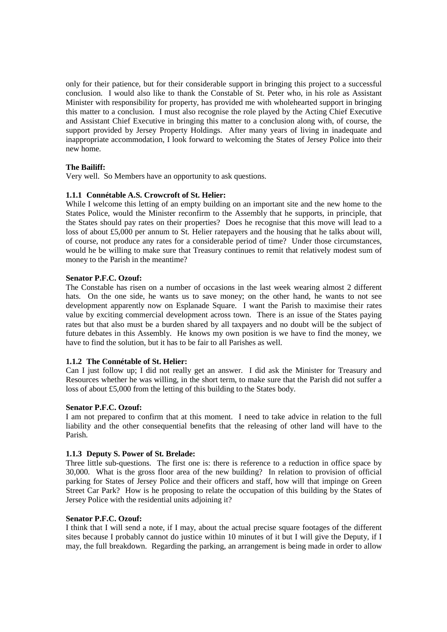only for their patience, but for their considerable support in bringing this project to a successful conclusion. I would also like to thank the Constable of St. Peter who, in his role as Assistant Minister with responsibility for property, has provided me with wholehearted support in bringing this matter to a conclusion. I must also recognise the role played by the Acting Chief Executive and Assistant Chief Executive in bringing this matter to a conclusion along with, of course, the support provided by Jersey Property Holdings. After many years of living in inadequate and inappropriate accommodation, I look forward to welcoming the States of Jersey Police into their new home.

## **The Bailiff:**

Very well. So Members have an opportunity to ask questions.

## **1.1.1 Connétable A.S. Crowcroft of St. Helier:**

While I welcome this letting of an empty building on an important site and the new home to the States Police, would the Minister reconfirm to the Assembly that he supports, in principle, that the States should pay rates on their properties? Does he recognise that this move will lead to a loss of about £5,000 per annum to St. Helier ratepayers and the housing that he talks about will, of course, not produce any rates for a considerable period of time? Under those circumstances, would he be willing to make sure that Treasury continues to remit that relatively modest sum of money to the Parish in the meantime?

## **Senator P.F.C. Ozouf:**

The Constable has risen on a number of occasions in the last week wearing almost 2 different hats. On the one side, he wants us to save money; on the other hand, he wants to not see development apparently now on Esplanade Square. I want the Parish to maximise their rates value by exciting commercial development across town. There is an issue of the States paying rates but that also must be a burden shared by all taxpayers and no doubt will be the subject of future debates in this Assembly. He knows my own position is we have to find the money, we have to find the solution, but it has to be fair to all Parishes as well.

## **1.1.2 The Connétable of St. Helier:**

Can I just follow up; I did not really get an answer. I did ask the Minister for Treasury and Resources whether he was willing, in the short term, to make sure that the Parish did not suffer a loss of about £5,000 from the letting of this building to the States body.

## **Senator P.F.C. Ozouf:**

I am not prepared to confirm that at this moment. I need to take advice in relation to the full liability and the other consequential benefits that the releasing of other land will have to the Parish.

## **1.1.3 Deputy S. Power of St. Brelade:**

Three little sub-questions. The first one is: there is reference to a reduction in office space by 30,000. What is the gross floor area of the new building? In relation to provision of official parking for States of Jersey Police and their officers and staff, how will that impinge on Green Street Car Park? How is he proposing to relate the occupation of this building by the States of Jersey Police with the residential units adjoining it?

#### **Senator P.F.C. Ozouf:**

I think that I will send a note, if I may, about the actual precise square footages of the different sites because I probably cannot do justice within 10 minutes of it but I will give the Deputy, if I may, the full breakdown. Regarding the parking, an arrangement is being made in order to allow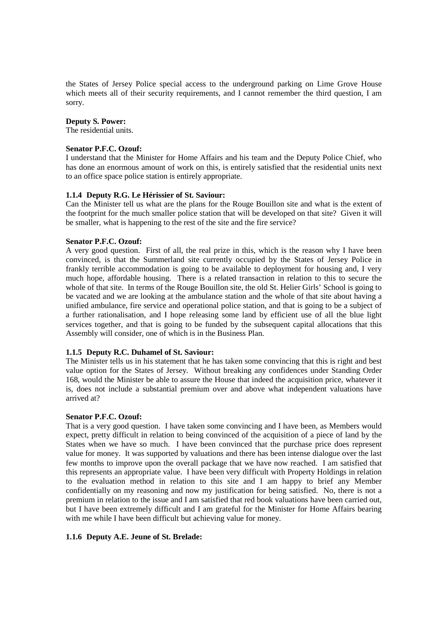the States of Jersey Police special access to the underground parking on Lime Grove House which meets all of their security requirements, and I cannot remember the third question, I am sorry.

#### **Deputy S. Power:**

The residential units.

#### **Senator P.F.C. Ozouf:**

I understand that the Minister for Home Affairs and his team and the Deputy Police Chief, who has done an enormous amount of work on this, is entirely satisfied that the residential units next to an office space police station is entirely appropriate.

#### **1.1.4 Deputy R.G. Le Hérissier of St. Saviour:**

Can the Minister tell us what are the plans for the Rouge Bouillon site and what is the extent of the footprint for the much smaller police station that will be developed on that site? Given it will be smaller, what is happening to the rest of the site and the fire service?

#### **Senator P.F.C. Ozouf:**

A very good question. First of all, the real prize in this, which is the reason why I have been convinced, is that the Summerland site currently occupied by the States of Jersey Police in frankly terrible accommodation is going to be available to deployment for housing and, I very much hope, affordable housing. There is a related transaction in relation to this to secure the whole of that site. In terms of the Rouge Bouillon site, the old St. Helier Girls' School is going to be vacated and we are looking at the ambulance station and the whole of that site about having a unified ambulance, fire service and operational police station, and that is going to be a subject of a further rationalisation, and I hope releasing some land by efficient use of all the blue light services together, and that is going to be funded by the subsequent capital allocations that this Assembly will consider, one of which is in the Business Plan.

## **1.1.5 Deputy R.C. Duhamel of St. Saviour:**

The Minister tells us in his statement that he has taken some convincing that this is right and best value option for the States of Jersey. Without breaking any confidences under Standing Order 168, would the Minister be able to assure the House that indeed the acquisition price, whatever it is, does not include a substantial premium over and above what independent valuations have arrived at?

#### **Senator P.F.C. Ozouf:**

That is a very good question. I have taken some convincing and I have been, as Members would expect, pretty difficult in relation to being convinced of the acquisition of a piece of land by the States when we have so much. I have been convinced that the purchase price does represent value for money. It was supported by valuations and there has been intense dialogue over the last few months to improve upon the overall package that we have now reached. I am satisfied that this represents an appropriate value. I have been very difficult with Property Holdings in relation to the evaluation method in relation to this site and I am happy to brief any Member confidentially on my reasoning and now my justification for being satisfied. No, there is not a premium in relation to the issue and I am satisfied that red book valuations have been carried out, but I have been extremely difficult and I am grateful for the Minister for Home Affairs bearing with me while I have been difficult but achieving value for money.

#### **1.1.6 Deputy A.E. Jeune of St. Brelade:**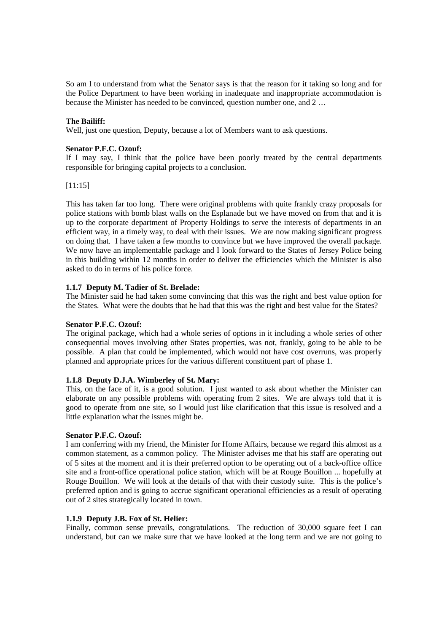So am I to understand from what the Senator says is that the reason for it taking so long and for the Police Department to have been working in inadequate and inappropriate accommodation is because the Minister has needed to be convinced, question number one, and 2 …

## **The Bailiff:**

Well, just one question, Deputy, because a lot of Members want to ask questions.

### **Senator P.F.C. Ozouf:**

If I may say, I think that the police have been poorly treated by the central departments responsible for bringing capital projects to a conclusion.

## [11:15]

This has taken far too long. There were original problems with quite frankly crazy proposals for police stations with bomb blast walls on the Esplanade but we have moved on from that and it is up to the corporate department of Property Holdings to serve the interests of departments in an efficient way, in a timely way, to deal with their issues. We are now making significant progress on doing that. I have taken a few months to convince but we have improved the overall package. We now have an implementable package and I look forward to the States of Jersey Police being in this building within 12 months in order to deliver the efficiencies which the Minister is also asked to do in terms of his police force.

## **1.1.7 Deputy M. Tadier of St. Brelade:**

The Minister said he had taken some convincing that this was the right and best value option for the States. What were the doubts that he had that this was the right and best value for the States?

#### **Senator P.F.C. Ozouf:**

The original package, which had a whole series of options in it including a whole series of other consequential moves involving other States properties, was not, frankly, going to be able to be possible. A plan that could be implemented, which would not have cost overruns, was properly planned and appropriate prices for the various different constituent part of phase 1.

#### **1.1.8 Deputy D.J.A. Wimberley of St. Mary:**

This, on the face of it, is a good solution. I just wanted to ask about whether the Minister can elaborate on any possible problems with operating from 2 sites. We are always told that it is good to operate from one site, so I would just like clarification that this issue is resolved and a little explanation what the issues might be.

#### **Senator P.F.C. Ozouf:**

I am conferring with my friend, the Minister for Home Affairs, because we regard this almost as a common statement, as a common policy. The Minister advises me that his staff are operating out of 5 sites at the moment and it is their preferred option to be operating out of a back-office office site and a front-office operational police station, which will be at Rouge Bouillon ... hopefully at Rouge Bouillon. We will look at the details of that with their custody suite. This is the police's preferred option and is going to accrue significant operational efficiencies as a result of operating out of 2 sites strategically located in town.

#### **1.1.9 Deputy J.B. Fox of St. Helier:**

Finally, common sense prevails, congratulations. The reduction of 30,000 square feet I can understand, but can we make sure that we have looked at the long term and we are not going to